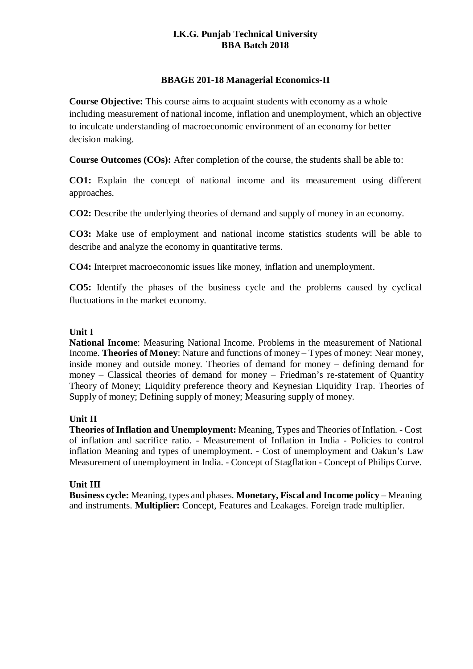# **I.K.G. Punjab Technical University BBA Batch 2018**

## **BBAGE 201-18 Managerial Economics-II**

**Course Objective:** This course aims to acquaint students with economy as a whole including measurement of national income, inflation and unemployment, which an objective to inculcate understanding of macroeconomic environment of an economy for better decision making.

**Course Outcomes (COs):** After completion of the course, the students shall be able to:

**CO1:** Explain the concept of national income and its measurement using different approaches.

**CO2:** Describe the underlying theories of demand and supply of money in an economy.

**CO3:** Make use of employment and national income statistics students will be able to describe and analyze the economy in quantitative terms.

**CO4:** Interpret macroeconomic issues like money, inflation and unemployment.

**CO5:** Identify the phases of the business cycle and the problems caused by cyclical fluctuations in the market economy.

## **Unit I**

**National Income**: Measuring National Income. Problems in the measurement of National Income. **Theories of Money**: Nature and functions of money – Types of money: Near money, inside money and outside money. Theories of demand for money – defining demand for money – Classical theories of demand for money – Friedman's re-statement of Quantity Theory of Money; Liquidity preference theory and Keynesian Liquidity Trap. Theories of Supply of money; Defining supply of money; Measuring supply of money.

# **Unit II**

**Theories of Inflation and Unemployment:** Meaning, Types and Theories of Inflation. - Cost of inflation and sacrifice ratio. - Measurement of Inflation in India - Policies to control inflation Meaning and types of unemployment. - Cost of unemployment and Oakun's Law Measurement of unemployment in India. - Concept of Stagflation - Concept of Philips Curve.

#### **Unit III**

**Business cycle:** Meaning, types and phases. **Monetary, Fiscal and Income policy** – Meaning and instruments. **Multiplier:** Concept, Features and Leakages. Foreign trade multiplier.